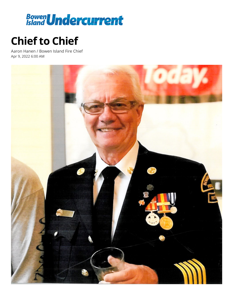

## **Chief to Chief**

Aaron Hanen / Bowen Island Fire Chief Apr 9, 2022 6:00 AM